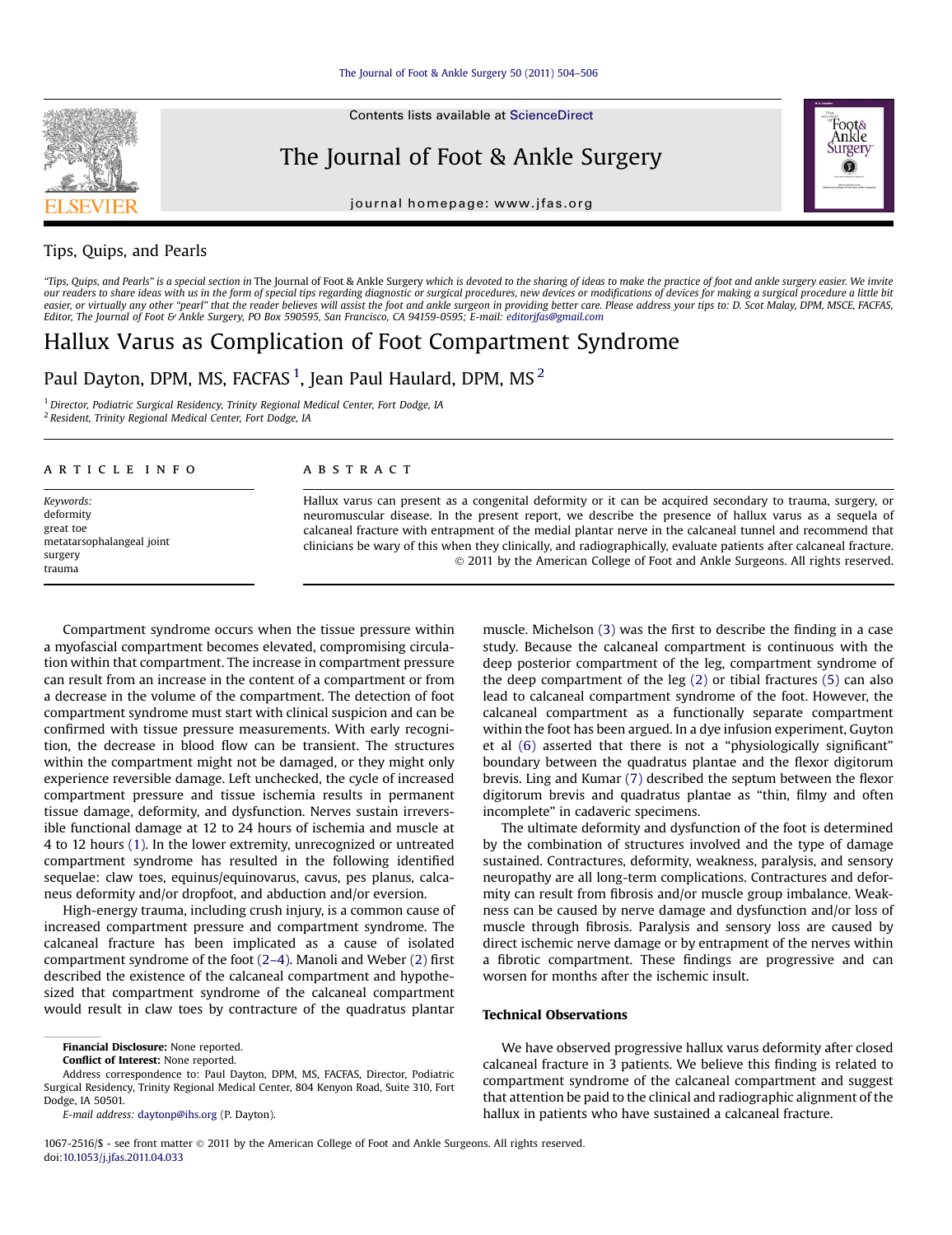Contents lists available at ScienceDirect

## The Journal of Foot & Ankle Surgery

journal homepage: [www.jfas.org](http://www.jfas.org)



## Tips, Quips, and Pearls

"Tips, Quips, and Pearls" is a special section in The Journal of Foot & Ankle Surgery which is devoted to the sharing of ideas to make the practice of foot and ankle surgery easier. We invite our readers to share ideas with us in the form of special tips regarding diagnostic or surgical procedures, new devices or modifications of devices for making a surgical procedure a little bit easier, or virtually any other "pearl" that the reader believes will assist the foot and ankle surgeon in providing better care. Please address your tips to: D. Scot Malay, DPM, MSCE, FACFAS, Editor, The Journal of Foot & Ankle Surgery, PO Box 590595, San Francisco, CA 94159-0595; E-mail: [editorjfas@gmail.com](mailto:editorjfas@gmail.com)

# Hallux Varus as Complication of Foot Compartment Syndrome

Paul Dayton, DPM, MS, FACFAS  $^1$ , Jean Paul Haulard, DPM, MS  $^2$ 

<sup>1</sup> Director, Podiatric Surgical Residency, Trinity Regional Medical Center, Fort Dodge, IA <sup>2</sup> Resident, Trinity Regional Medical Center, Fort Dodge, IA

#### article info

Keywords: deformity great toe metatarsophalangeal joint surgery trauma

### **ABSTRACT**

Hallux varus can present as a congenital deformity or it can be acquired secondary to trauma, surgery, or neuromuscular disease. In the present report, we describe the presence of hallux varus as a sequela of calcaneal fracture with entrapment of the medial plantar nerve in the calcaneal tunnel and recommend that clinicians be wary of this when they clinically, and radiographically, evaluate patients after calcaneal fracture. 2011 by the American College of Foot and Ankle Surgeons. All rights reserved.

Compartment syndrome occurs when the tissue pressure within a myofascial compartment becomes elevated, compromising circulation within that compartment. The increase in compartment pressure can result from an increase in the content of a compartment or from a decrease in the volume of the compartment. The detection of foot compartment syndrome must start with clinical suspicion and can be confirmed with tissue pressure measurements. With early recognition, the decrease in blood flow can be transient. The structures within the compartment might not be damaged, or they might only experience reversible damage. Left unchecked, the cycle of increased compartment pressure and tissue ischemia results in permanent tissue damage, deformity, and dysfunction. Nerves sustain irreversible functional damage at 12 to 24 hours of ischemia and muscle at 4 to 12 hours [\(1\)](#page-2-0). In the lower extremity, unrecognized or untreated compartment syndrome has resulted in the following identified sequelae: claw toes, equinus/equinovarus, cavus, pes planus, calcaneus deformity and/or dropfoot, and abduction and/or eversion.

High-energy trauma, including crush injury, is a common cause of increased compartment pressure and compartment syndrome. The calcaneal fracture has been implicated as a cause of isolated compartment syndrome of the foot (2–[4\).](#page-2-0) Manoli and Weber [\(2\)](#page-2-0) first described the existence of the calcaneal compartment and hypothesized that compartment syndrome of the calcaneal compartment would result in claw toes by contracture of the quadratus plantar

Financial Disclosure: None reported.

Conflict of Interest: None reported.

Address correspondence to: Paul Dayton, DPM, MS, FACFAS, Director, Podiatric Surgical Residency, Trinity Regional Medical Center, 804 Kenyon Road, Suite 310, Fort Dodge, IA 50501.

E-mail address: [daytonp@ihs.org](mailto:daytonp@ihs.org) (P. Dayton).

muscle. Michelson [\(3\)](#page-2-0) was the first to describe the finding in a case study. Because the calcaneal compartment is continuous with the deep posterior compartment of the leg, compartment syndrome of the deep compartment of the leg [\(2\)](#page-2-0) or tibial fractures [\(5\)](#page-2-0) can also lead to calcaneal compartment syndrome of the foot. However, the calcaneal compartment as a functionally separate compartment within the foot has been argued. In a dye infusion experiment, Guyton et al [\(6\)](#page-2-0) asserted that there is not a "physiologically significant" boundary between the quadratus plantae and the flexor digitorum brevis. Ling and Kumar [\(7\)](#page-2-0) described the septum between the flexor digitorum brevis and quadratus plantae as "thin, filmy and often incomplete" in cadaveric specimens.

The ultimate deformity and dysfunction of the foot is determined by the combination of structures involved and the type of damage sustained. Contractures, deformity, weakness, paralysis, and sensory neuropathy are all long-term complications. Contractures and deformity can result from fibrosis and/or muscle group imbalance. Weakness can be caused by nerve damage and dysfunction and/or loss of muscle through fibrosis. Paralysis and sensory loss are caused by direct ischemic nerve damage or by entrapment of the nerves within a fibrotic compartment. These findings are progressive and can worsen for months after the ischemic insult.

We have observed progressive hallux varus deformity after closed calcaneal fracture in 3 patients. We believe this finding is related to compartment syndrome of the calcaneal compartment and suggest that attention be paid to the clinical and radiographic alignment of the hallux in patients who have sustained a calcaneal fracture.

1067-2516/\$ - see front matter  $\circ$  2011 by the American College of Foot and Ankle Surgeons. All rights reserved. doi:[10.1053/j.jfas.2011.04.033](http://dx.doi.org/10.1053/j.jfas.2011.04.033)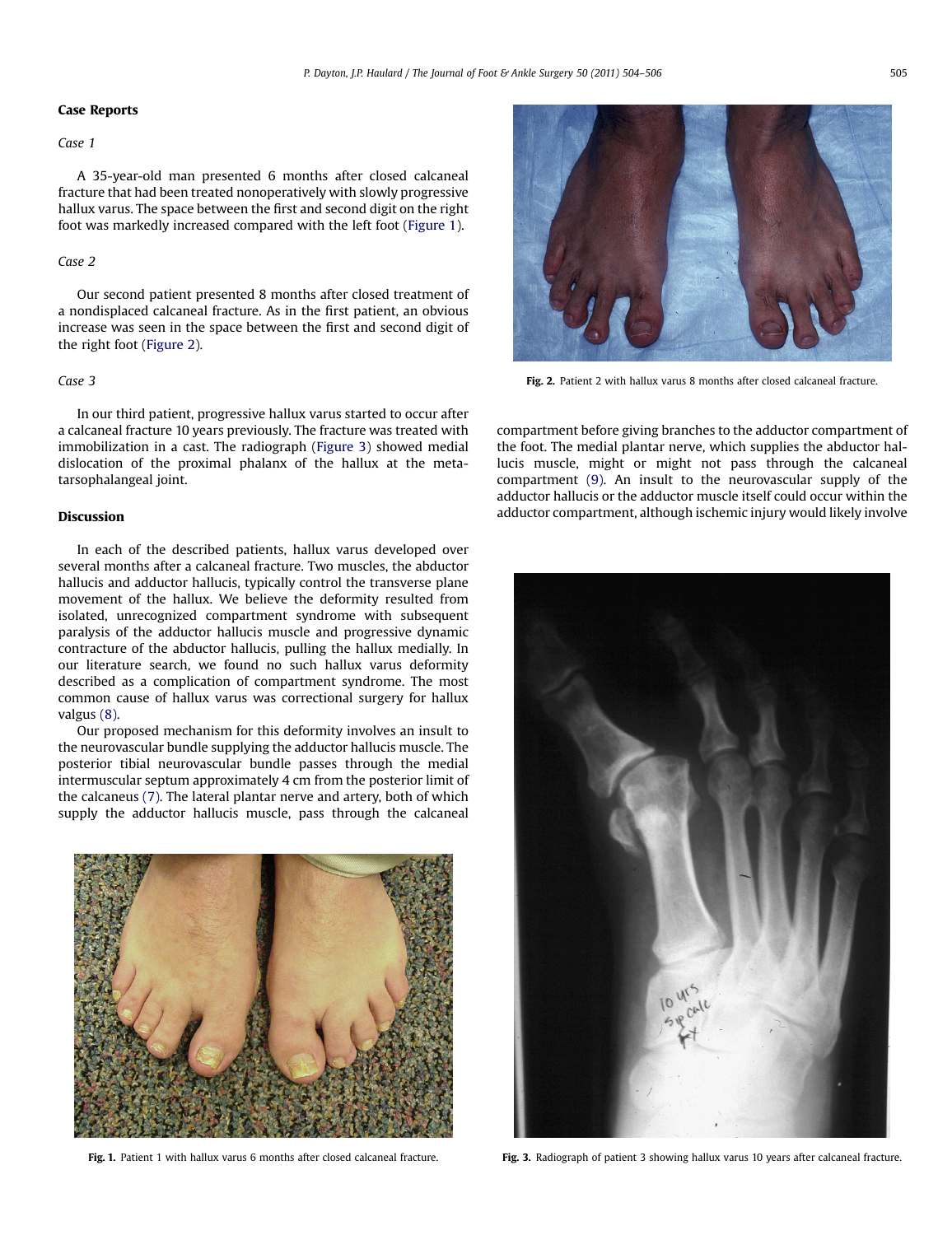#### Case Reports

#### Case 1

A 35-year-old man presented 6 months after closed calcaneal fracture that had been treated nonoperatively with slowly progressive hallux varus. The space between the first and second digit on the right foot was markedly increased compared with the left foot (Figure 1).

#### Case 2

Our second patient presented 8 months after closed treatment of a nondisplaced calcaneal fracture. As in the first patient, an obvious increase was seen in the space between the first and second digit of the right foot (Figure 2).

### Case 3

In our third patient, progressive hallux varus started to occur after a calcaneal fracture 10 years previously. The fracture was treated with immobilization in a cast. The radiograph (Figure 3) showed medial dislocation of the proximal phalanx of the hallux at the metatarsophalangeal joint.

In each of the described patients, hallux varus developed over several months after a calcaneal fracture. Two muscles, the abductor hallucis and adductor hallucis, typically control the transverse plane movement of the hallux. We believe the deformity resulted from isolated, unrecognized compartment syndrome with subsequent paralysis of the adductor hallucis muscle and progressive dynamic contracture of the abductor hallucis, pulling the hallux medially. In our literature search, we found no such hallux varus deformity described as a complication of compartment syndrome. The most common cause of hallux varus was correctional surgery for hallux valgus [\(8\)](#page-2-0).

Our proposed mechanism for this deformity involves an insult to the neurovascular bundle supplying the adductor hallucis muscle. The posterior tibial neurovascular bundle passes through the medial intermuscular septum approximately 4 cm from the posterior limit of the calcaneus [\(7\)](#page-2-0). The lateral plantar nerve and artery, both of which supply the adductor hallucis muscle, pass through the calcaneal



Fig. 1. Patient 1 with hallux varus 6 months after closed calcaneal fracture.



Fig. 2. Patient 2 with hallux varus 8 months after closed calcaneal fracture.

compartment before giving branches to the adductor compartment of the foot. The medial plantar nerve, which supplies the abductor hallucis muscle, might or might not pass through the calcaneal compartment [\(9\)](#page-2-0). An insult to the neurovascular supply of the adductor hallucis or the adductor muscle itself could occur within the adductor compartment, although ischemic injury would likely involve



Fig. 3. Radiograph of patient 3 showing hallux varus 10 years after calcaneal fracture.